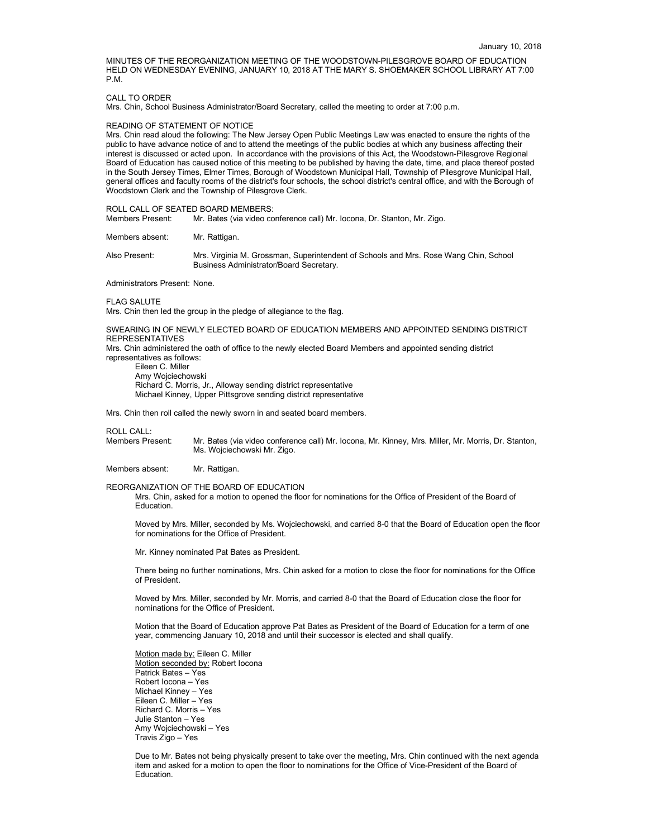MINUTES OF THE REORGANIZATION MEETING OF THE WOODSTOWN-PILESGROVE BOARD OF EDUCATION HELD ON WEDNESDAY EVENING, JANUARY 10, 2018 AT THE MARY S. SHOEMAKER SCHOOL LIBRARY AT 7:00 P.M.

### CALL TO ORDER

Mrs. Chin, School Business Administrator/Board Secretary, called the meeting to order at 7:00 p.m.

#### READING OF STATEMENT OF NOTICE

Mrs. Chin read aloud the following: The New Jersey Open Public Meetings Law was enacted to ensure the rights of the public to have advance notice of and to attend the meetings of the public bodies at which any business affecting their interest is discussed or acted upon. In accordance with the provisions of this Act, the Woodstown-Pilesgrove Regional Board of Education has caused notice of this meeting to be published by having the date, time, and place thereof posted in the South Jersey Times, Elmer Times, Borough of Woodstown Municipal Hall, Township of Pilesgrove Municipal Hall, general offices and faculty rooms of the district's four schools, the school district's central office, and with the Borough of Woodstown Clerk and the Township of Pilesgrove Clerk.

ROLL CALL OF SEATED BOARD MEMBERS:<br>Members Present: Mr. Bates (via video co

Mr. Bates (via video conference call) Mr. Iocona, Dr. Stanton, Mr. Zigo.

Members absent: Mr. Rattigan.

Also Present: Mrs. Virginia M. Grossman, Superintendent of Schools and Mrs. Rose Wang Chin, School Business Administrator/Board Secretary.

Administrators Present: None.

FLAG SALUTE

Mrs. Chin then led the group in the pledge of allegiance to the flag.

SWEARING IN OF NEWLY ELECTED BOARD OF EDUCATION MEMBERS AND APPOINTED SENDING DISTRICT REPRESENTATIVES

Mrs. Chin administered the oath of office to the newly elected Board Members and appointed sending district representatives as follows:

Eileen C. Miller Amy Wojciechowski Richard C. Morris, Jr., Alloway sending district representative Michael Kinney, Upper Pittsgrove sending district representative

Mrs. Chin then roll called the newly sworn in and seated board members.

ROLL CALL:<br>Members Present: Mr. Bates (via video conference call) Mr. Iocona, Mr. Kinney, Mrs. Miller, Mr. Morris, Dr. Stanton, Ms. Wojciechowski Mr. Zigo.

Members absent: Mr. Rattigan.

REORGANIZATION OF THE BOARD OF EDUCATION

Mrs. Chin, asked for a motion to opened the floor for nominations for the Office of President of the Board of Education.

Moved by Mrs. Miller, seconded by Ms. Wojciechowski, and carried 8-0 that the Board of Education open the floor for nominations for the Office of President.

Mr. Kinney nominated Pat Bates as President.

There being no further nominations, Mrs. Chin asked for a motion to close the floor for nominations for the Office of President.

Moved by Mrs. Miller, seconded by Mr. Morris, and carried 8-0 that the Board of Education close the floor for nominations for the Office of President.

Motion that the Board of Education approve Pat Bates as President of the Board of Education for a term of one year, commencing January 10, 2018 and until their successor is elected and shall qualify.

Motion made by: Eileen C. Miller Motion seconded by: Robert locona Patrick Bates – Yes Robert Iocona – Yes Michael Kinney – Yes Eileen C. Miller – Yes Richard C. Morris – Yes Julie Stanton – Yes Amy Wojciechowski – Yes Travis Zigo – Yes

Due to Mr. Bates not being physically present to take over the meeting, Mrs. Chin continued with the next agenda item and asked for a motion to open the floor to nominations for the Office of Vice-President of the Board of Education.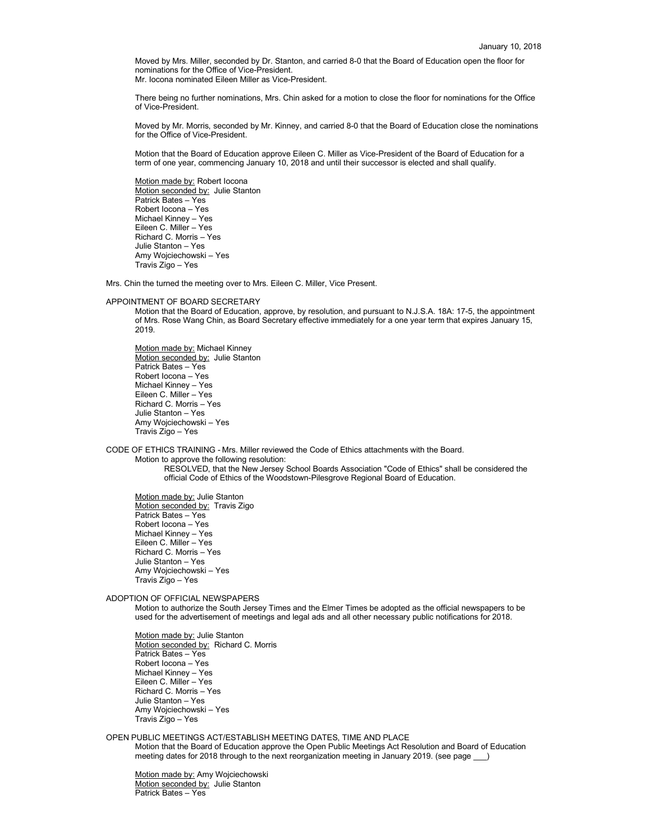Moved by Mrs. Miller, seconded by Dr. Stanton, and carried 8-0 that the Board of Education open the floor for nominations for the Office of Vice-President. Mr. Iocona nominated Eileen Miller as Vice-President.

There being no further nominations, Mrs. Chin asked for a motion to close the floor for nominations for the Office of Vice-President.

Moved by Mr. Morris, seconded by Mr. Kinney, and carried 8-0 that the Board of Education close the nominations for the Office of Vice-President.

Motion that the Board of Education approve Eileen C. Miller as Vice-President of the Board of Education for a term of one year, commencing January 10, 2018 and until their successor is elected and shall qualify.

Motion made by: Robert Iocona Motion seconded by: Julie Stanton Patrick Bates – Yes Robert Iocona – Yes Michael Kinney – Yes Eileen C. Miller – Yes Richard C. Morris – Yes Julie Stanton – Yes Amy Wojciechowski – Yes Travis Zigo – Yes

Mrs. Chin the turned the meeting over to Mrs. Eileen C. Miller, Vice Present.

# APPOINTMENT OF BOARD SECRETARY

Motion that the Board of Education, approve, by resolution, and pursuant to N.J.S.A. 18A: 17-5, the appointment of Mrs. Rose Wang Chin, as Board Secretary effective immediately for a one year term that expires January 15, 2019.

Motion made by: Michael Kinney Motion seconded by: Julie Stanton Patrick Bates – Yes Robert Iocona – Yes Michael Kinney – Yes Eileen C. Miller – Yes Richard C. Morris – Yes Julie Stanton – Yes Amy Wojciechowski – Yes Travis Zigo – Yes

CODE OF ETHICS TRAINING - Mrs. Miller reviewed the Code of Ethics attachments with the Board.

Motion to approve the following resolution:

RESOLVED, that the New Jersey School Boards Association "Code of Ethics" shall be considered the official Code of Ethics of the Woodstown-Pilesgrove Regional Board of Education.

Motion made by: Julie Stanton Motion seconded by: Travis Zigo Patrick Bates – Yes Robert Iocona – Yes Michael Kinney – Yes Eileen C. Miller – Yes Richard C. Morris – Yes Julie Stanton – Yes Amy Wojciechowski – Yes Travis Zigo – Yes

ADOPTION OF OFFICIAL NEWSPAPERS

Motion to authorize the South Jersey Times and the Elmer Times be adopted as the official newspapers to be used for the advertisement of meetings and legal ads and all other necessary public notifications for 2018.

Motion made by: Julie Stanton Motion seconded by: Richard C. Morris Patrick Bates – Yes Robert Iocona – Yes Michael Kinney – Yes Eileen C. Miller – Yes Richard C. Morris – Yes Julie Stanton – Yes Amy Wojciechowski – Yes Travis Zigo – Yes

# OPEN PUBLIC MEETINGS ACT/ESTABLISH MEETING DATES, TIME AND PLACE

Motion that the Board of Education approve the Open Public Meetings Act Resolution and Board of Education meeting dates for 2018 through to the next reorganization meeting in January 2019. (see page )

Motion made by: Amy Wojciechowski Motion seconded by: Julie Stanton Patrick Bates – Yes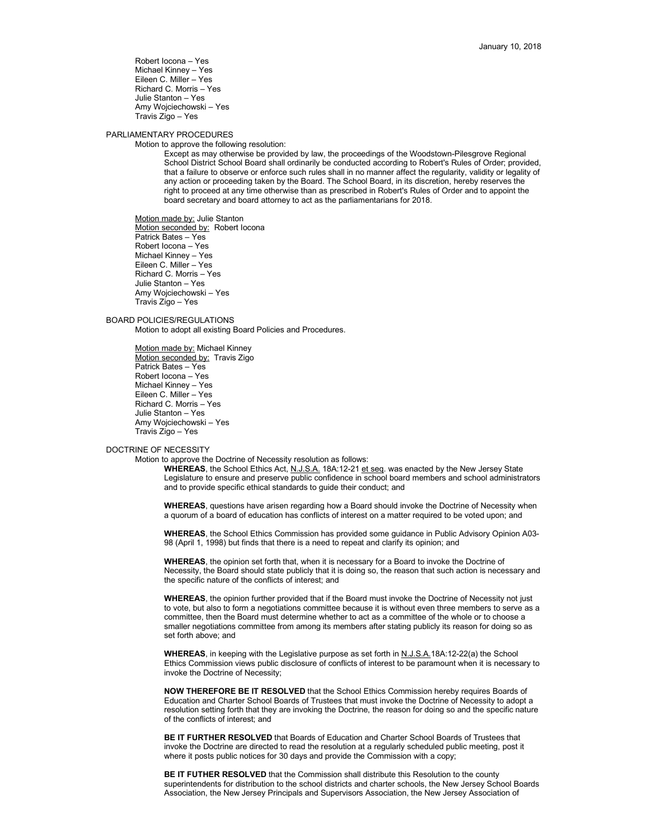Robert Iocona – Yes Michael Kinney – Yes Eileen C. Miller – Yes Richard C. Morris – Yes Julie Stanton – Yes Amy Wojciechowski – Yes Travis Zigo – Yes

# PARLIAMENTARY PROCEDURES

Motion to approve the following resolution:

Except as may otherwise be provided by law, the proceedings of the Woodstown-Pilesgrove Regional School District School Board shall ordinarily be conducted according to Robert's Rules of Order; provided, that a failure to observe or enforce such rules shall in no manner affect the regularity, validity or legality of any action or proceeding taken by the Board. The School Board, in its discretion, hereby reserves the right to proceed at any time otherwise than as prescribed in Robert's Rules of Order and to appoint the board secretary and board attorney to act as the parliamentarians for 2018.

Motion made by: Julie Stanton Motion seconded by: Robert locona Patrick Bates – Yes Robert Iocona – Yes Michael Kinney – Yes Eileen C. Miller – Yes Richard C. Morris – Yes Julie Stanton – Yes Amy Wojciechowski – Yes Travis Zigo – Yes

### BOARD POLICIES/REGULATIONS

Motion to adopt all existing Board Policies and Procedures.

Motion made by: Michael Kinney Motion seconded by: Travis Zigo Patrick Bates – Yes Robert Iocona – Yes Michael Kinney – Yes Eileen C. Miller – Yes Richard C. Morris – Yes Julie Stanton – Yes Amy Wojciechowski – Yes Travis Zigo – Yes

### DOCTRINE OF NECESSITY

Motion to approve the Doctrine of Necessity resolution as follows:

WHEREAS, the School Ethics Act, N.J.S.A. 18A:12-21 et seq. was enacted by the New Jersey State Legislature to ensure and preserve public confidence in school board members and school administrators and to provide specific ethical standards to guide their conduct; and

**WHEREAS**, questions have arisen regarding how a Board should invoke the Doctrine of Necessity when a quorum of a board of education has conflicts of interest on a matter required to be voted upon; and

**WHEREAS**, the School Ethics Commission has provided some guidance in Public Advisory Opinion A03- 98 (April 1, 1998) but finds that there is a need to repeat and clarify its opinion; and

**WHEREAS**, the opinion set forth that, when it is necessary for a Board to invoke the Doctrine of Necessity, the Board should state publicly that it is doing so, the reason that such action is necessary and the specific nature of the conflicts of interest; and

**WHEREAS**, the opinion further provided that if the Board must invoke the Doctrine of Necessity not just to vote, but also to form a negotiations committee because it is without even three members to serve as a committee, then the Board must determine whether to act as a committee of the whole or to choose a smaller negotiations committee from among its members after stating publicly its reason for doing so as set forth above; and

**WHEREAS**, in keeping with the Legislative purpose as set forth in N.J.S.A.18A:12-22(a) the School Ethics Commission views public disclosure of conflicts of interest to be paramount when it is necessary to invoke the Doctrine of Necessity;

**NOW THEREFORE BE IT RESOLVED** that the School Ethics Commission hereby requires Boards of Education and Charter School Boards of Trustees that must invoke the Doctrine of Necessity to adopt a resolution setting forth that they are invoking the Doctrine, the reason for doing so and the specific nature of the conflicts of interest; and

**BE IT FURTHER RESOLVED** that Boards of Education and Charter School Boards of Trustees that invoke the Doctrine are directed to read the resolution at a regularly scheduled public meeting, post it where it posts public notices for 30 days and provide the Commission with a copy;

**BE IT FUTHER RESOLVED** that the Commission shall distribute this Resolution to the county superintendents for distribution to the school districts and charter schools, the New Jersey School Boards Association, the New Jersey Principals and Supervisors Association, the New Jersey Association of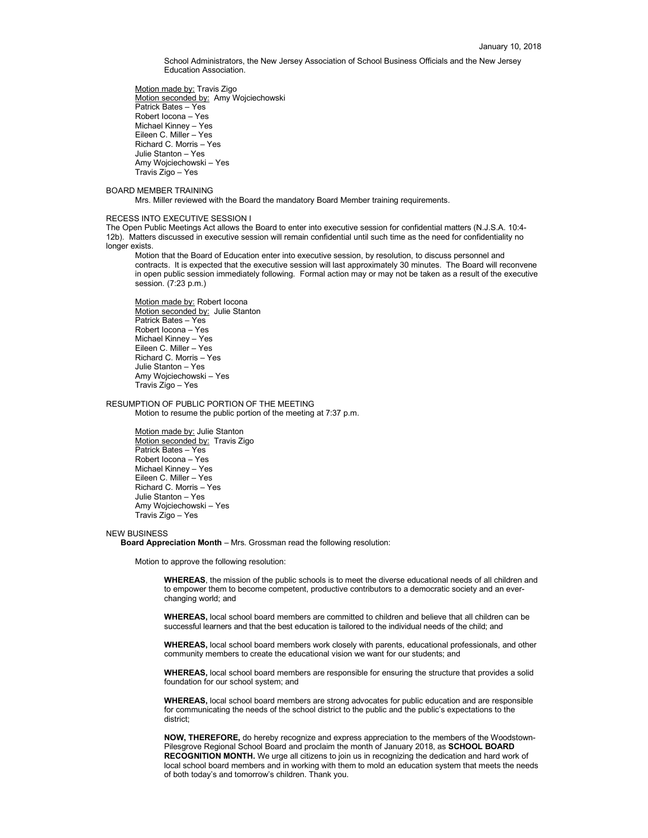School Administrators, the New Jersey Association of School Business Officials and the New Jersey Education Association.

Motion made by: Travis Zigo Motion seconded by: Amy Wojciechowski Patrick Bates – Yes Robert Iocona – Yes Michael Kinney – Yes Eileen C. Miller – Yes Richard C. Morris – Yes Julie Stanton – Yes Amy Wojciechowski – Yes Travis Zigo – Yes

BOARD MEMBER TRAINING

Mrs. Miller reviewed with the Board the mandatory Board Member training requirements.

#### RECESS INTO EXECUTIVE SESSION I

The Open Public Meetings Act allows the Board to enter into executive session for confidential matters (N.J.S.A. 10:4- 12b). Matters discussed in executive session will remain confidential until such time as the need for confidentiality no longer exists.

Motion that the Board of Education enter into executive session, by resolution, to discuss personnel and contracts. It is expected that the executive session will last approximately 30 minutes. The Board will reconvene in open public session immediately following. Formal action may or may not be taken as a result of the executive session. (7:23 p.m.)

Motion made by: Robert Iocona Motion seconded by: Julie Stanton Patrick Bates – Yes Robert Iocona – Yes Michael Kinney – Yes Eileen C. Miller – Yes Richard C. Morris – Yes Julie Stanton – Yes Amy Wojciechowski – Yes Travis Zigo – Yes

RESUMPTION OF PUBLIC PORTION OF THE MEETING

Motion to resume the public portion of the meeting at 7:37 p.m.

Motion made by: Julie Stanton Motion seconded by: Travis Zigo Patrick Bates – Yes Robert Iocona – Yes Michael Kinney – Yes Eileen C. Miller – Yes Richard C. Morris – Yes Julie Stanton – Yes Amy Wojciechowski – Yes Travis Zigo – Yes

### NEW BUSINESS

**Board Appreciation Month** – Mrs. Grossman read the following resolution:

Motion to approve the following resolution:

**WHEREAS**, the mission of the public schools is to meet the diverse educational needs of all children and to empower them to become competent, productive contributors to a democratic society and an everchanging world; and

**WHEREAS,** local school board members are committed to children and believe that all children can be successful learners and that the best education is tailored to the individual needs of the child; and

**WHEREAS,** local school board members work closely with parents, educational professionals, and other community members to create the educational vision we want for our students; and

**WHEREAS,** local school board members are responsible for ensuring the structure that provides a solid foundation for our school system; and

**WHEREAS,** local school board members are strong advocates for public education and are responsible for communicating the needs of the school district to the public and the public's expectations to the district;

**NOW, THEREFORE,** do hereby recognize and express appreciation to the members of the Woodstown-Pilesgrove Regional School Board and proclaim the month of January 2018, as **SCHOOL BOARD RECOGNITION MONTH.** We urge all citizens to join us in recognizing the dedication and hard work of local school board members and in working with them to mold an education system that meets the needs of both today's and tomorrow's children. Thank you.